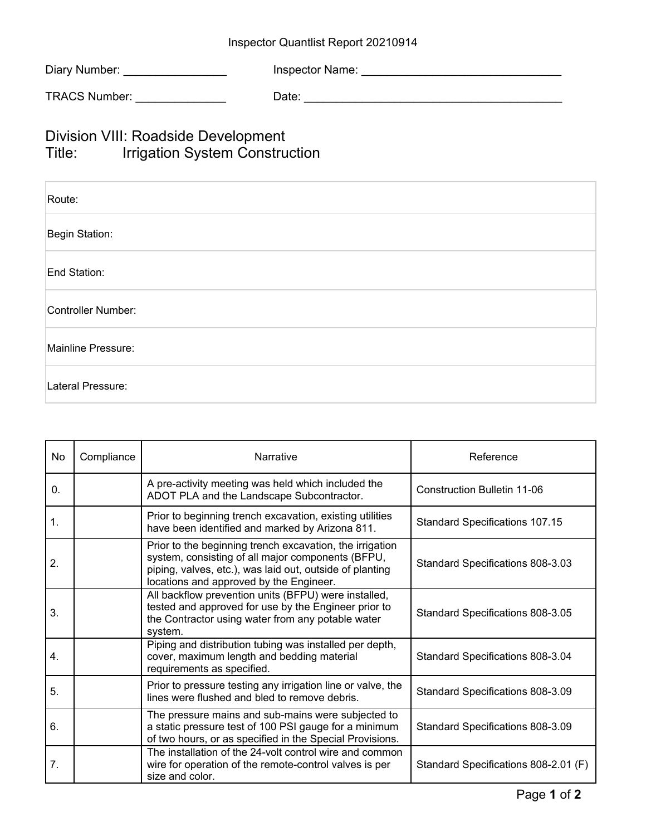| Diary Number: | Inspector Name: |
|---------------|-----------------|
|---------------|-----------------|

| <b>TRACS Number:</b> | ⊃ate: |  |
|----------------------|-------|--|
|----------------------|-------|--|

## Division VIII: Roadside Development Title: Irrigation System Construction

| Route:             |  |
|--------------------|--|
| Begin Station:     |  |
| End Station:       |  |
| Controller Number: |  |
| Mainline Pressure: |  |
| Lateral Pressure:  |  |

| No               | Compliance | Narrative                                                                                                                                                                                                            | Reference                             |
|------------------|------------|----------------------------------------------------------------------------------------------------------------------------------------------------------------------------------------------------------------------|---------------------------------------|
| 0.               |            | A pre-activity meeting was held which included the<br>ADOT PLA and the Landscape Subcontractor.                                                                                                                      | Construction Bulletin 11-06           |
| 1.               |            | Prior to beginning trench excavation, existing utilities<br>have been identified and marked by Arizona 811.                                                                                                          | <b>Standard Specifications 107.15</b> |
| 2.               |            | Prior to the beginning trench excavation, the irrigation<br>system, consisting of all major components (BFPU,<br>piping, valves, etc.), was laid out, outside of planting<br>locations and approved by the Engineer. | Standard Specifications 808-3.03      |
| 3.               |            | All backflow prevention units (BFPU) were installed,<br>tested and approved for use by the Engineer prior to<br>the Contractor using water from any potable water<br>system.                                         | Standard Specifications 808-3.05      |
| $\overline{4}$ . |            | Piping and distribution tubing was installed per depth,<br>cover, maximum length and bedding material<br>requirements as specified.                                                                                  | Standard Specifications 808-3.04      |
| 5.               |            | Prior to pressure testing any irrigation line or valve, the<br>lines were flushed and bled to remove debris.                                                                                                         | Standard Specifications 808-3.09      |
| 6.               |            | The pressure mains and sub-mains were subjected to<br>a static pressure test of 100 PSI gauge for a minimum<br>of two hours, or as specified in the Special Provisions.                                              | Standard Specifications 808-3.09      |
| 7.               |            | The installation of the 24-volt control wire and common<br>wire for operation of the remote-control valves is per<br>size and color.                                                                                 | Standard Specifications 808-2.01 (F)  |